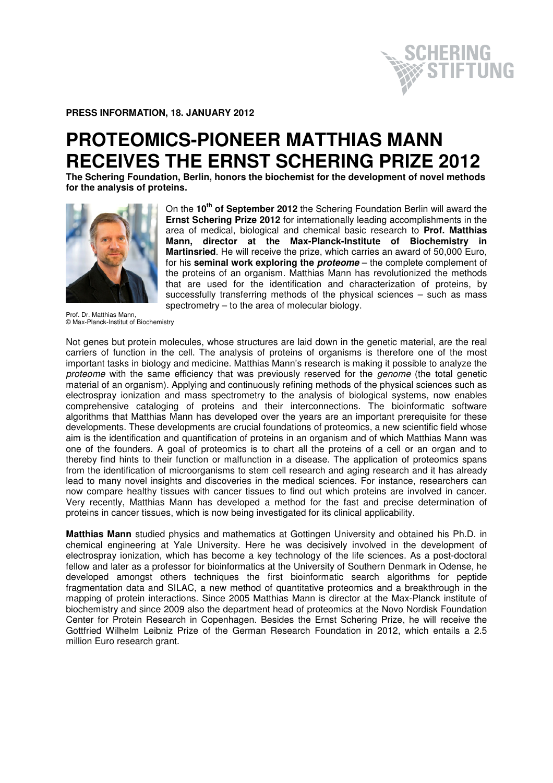HERING

**PRESS INFORMATION, 18. JANUARY 2012** 

## **PROTEOMICS-PIONEER MATTHIAS MANN RECEIVES THE ERNST SCHERING PRIZE 2012**

**The Schering Foundation, Berlin, honors the biochemist for the development of novel methods for the analysis of proteins.** 



On the **10th of September 2012** the Schering Foundation Berlin will award the **Ernst Schering Prize 2012** for internationally leading accomplishments in the area of medical, biological and chemical basic research to **Prof. Matthias Mann, director at the Max-Planck-Institute of Biochemistry in Martinsried**. He will receive the prize, which carries an award of 50,000 Euro, for his **seminal work exploring the proteome** – the complete complement of the proteins of an organism. Matthias Mann has revolutionized the methods that are used for the identification and characterization of proteins, by successfully transferring methods of the physical sciences – such as mass spectrometry – to the area of molecular biology.

Prof. Dr. Matthias Mann, © Max-Planck-Institut of Biochemistry

Not genes but protein molecules, whose structures are laid down in the genetic material, are the real carriers of function in the cell. The analysis of proteins of organisms is therefore one of the most important tasks in biology and medicine. Matthias Mann's research is making it possible to analyze the proteome with the same efficiency that was previously reserved for the *genome* (the total genetic material of an organism). Applying and continuously refining methods of the physical sciences such as electrospray ionization and mass spectrometry to the analysis of biological systems, now enables comprehensive cataloging of proteins and their interconnections. The bioinformatic software algorithms that Matthias Mann has developed over the years are an important prerequisite for these developments. These developments are crucial foundations of proteomics, a new scientific field whose aim is the identification and quantification of proteins in an organism and of which Matthias Mann was one of the founders. A goal of proteomics is to chart all the proteins of a cell or an organ and to thereby find hints to their function or malfunction in a disease. The application of proteomics spans from the identification of microorganisms to stem cell research and aging research and it has already lead to many novel insights and discoveries in the medical sciences. For instance, researchers can now compare healthy tissues with cancer tissues to find out which proteins are involved in cancer. Very recently, Matthias Mann has developed a method for the fast and precise determination of proteins in cancer tissues, which is now being investigated for its clinical applicability.

**Matthias Mann** studied physics and mathematics at Gottingen University and obtained his Ph.D. in chemical engineering at Yale University. Here he was decisively involved in the development of electrospray ionization, which has become a key technology of the life sciences. As a post-doctoral fellow and later as a professor for bioinformatics at the University of Southern Denmark in Odense, he developed amongst others techniques the first bioinformatic search algorithms for peptide fragmentation data and SILAC, a new method of quantitative proteomics and a breakthrough in the mapping of protein interactions. Since 2005 Matthias Mann is director at the Max-Planck institute of biochemistry and since 2009 also the department head of proteomics at the Novo Nordisk Foundation Center for Protein Research in Copenhagen. Besides the Ernst Schering Prize, he will receive the Gottfried Wilhelm Leibniz Prize of the German Research Foundation in 2012, which entails a 2.5 million Euro research grant.